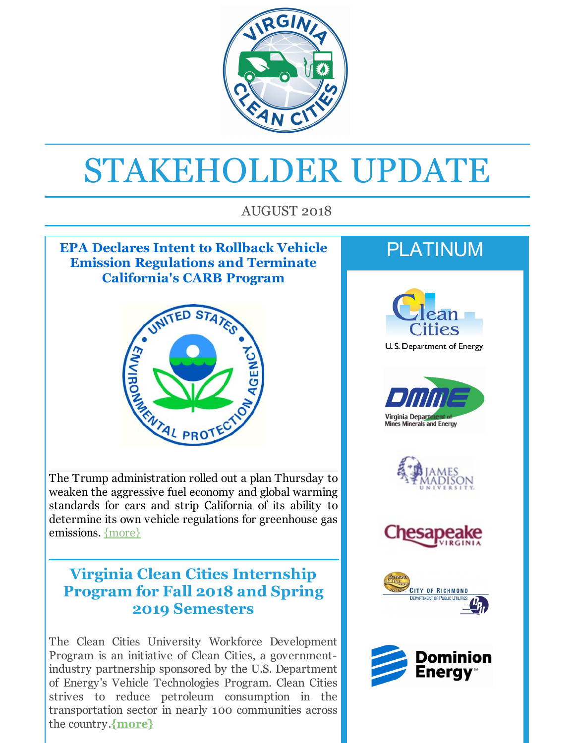

# STAKEHOLDER UPDATE

AUGUST 2018

#### **EPA Declares Intent to Rollback Vehicle Emission Regulations and Terminate California's CARB Program**



The Trump administration rolled out a plan Thursday to weaken the aggressive fuel economy and global warming standards for cars and strip California of its ability to determine its own vehicle regulations for greenhouse gas emissions. [{more}](http://r20.rs6.net/tn.jsp?f=001bAnVMZJ-0gkyKQni_S7hyhDMiJ2fI4suQVWbGnUqH8d_yeM4u0BlbNukudxpbS_dV-p9F14_KoRFJWuSdSujj-KbzePjdVNbs-jPgZl4O0XhZDggIvauGrqC30qWlrwldx3Fu7WWcCd3FJK1nT4dQKr2URsFNyrdigM8JvrCPmpJeOadbLnjlIe_1d-tEWA1aOBjhrgFjmpsnA8u5Ocytx0kVuQFIz5RNatCra0VKmqR0SgetfzgNcbpOkcumGLq5v5-xPI7HFCdg6Fg8nmctyCnxQ8whKQBoVC472XfcXqIevXQ7PKhbKNdtvmR_KW5MMyx_q4E-D7qwkaLjbrVbD8dfojONm-7mGPUModmXyrag8oOMae4HmKYWTRbxlaeXFdFOEfp9_XpOkOd78ELCsTHG8gaiVTB5mA9O3fx3BbXc1TVu6vmSjClnkaf5sgHmkeeYaoIlAsVT6-XTpM68Q==&c=&ch=)

#### **Virginia Clean Cities Internship Program for Fall 2018 and Spring 2019 Semesters**

The Clean Cities University Workforce Development Program is an initiative of Clean Cities, a governmentindustry partnership sponsored by the U.S. Department of Energy's Vehicle Technologies Program. Clean Cities strives to reduce petroleum consumption in the transportation sector in nearly 100 communities across the country.**[{more}](http://r20.rs6.net/tn.jsp?f=001bAnVMZJ-0gkyKQni_S7hyhDMiJ2fI4suQVWbGnUqH8d_yeM4u0BlbNukudxpbS_dThtm64Tpvqd6hE7rK9WX6GR1yUOvZojvqsFCDliJOGWlO6HDSDTy9lCpwo5FzGeAuGMzpcEgjoqvrAi_G-ezqpQx4mrXBc28mrYKmuU7eHJOxDH5zohrdggJ7dyXcuYINgc9TzWVKjXXI3SW9BkZ83PpSzIM_w37uvN_hJdpLFGWn_Advqc7TUmMvG2ASRoUwlZV00Tkn1PKFJ90ZFzqVAkS4IQnFLahEm_jefM-FMoelou3bxK7qqWG7pRXVViaEWrTVGkmpg92wV4KprP-B29Lq2mf0O6Mrj245ipnc8KSJNmIH2EUnDaXXq8AktcehUzA85xdIvwZ1lpAB0aMtuh7VOFqgiW2w28k0u3eTqldGftg863OVDfoEZdgGFJI&c=&ch=)**

# PLATINUM











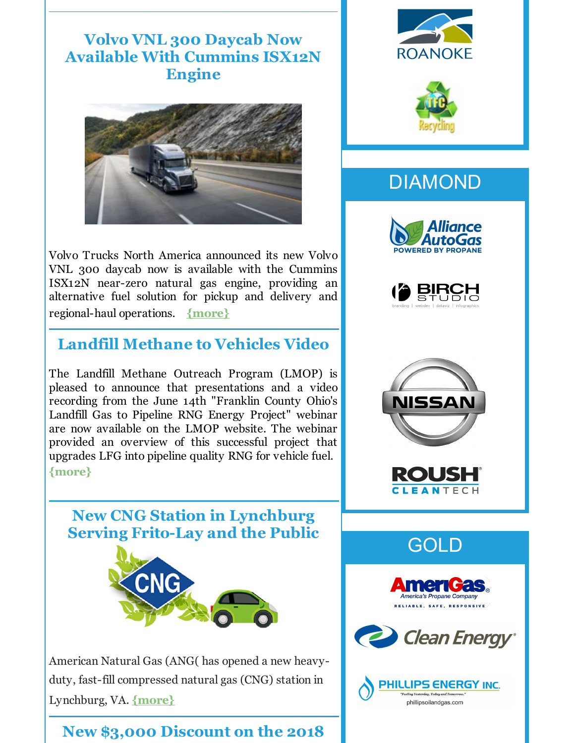**Volvo VNL 300 Daycab Now Available With Cummins ISX12N Engine**

 $\frac{1}{2}$  ,  $\frac{1}{2}$  ,  $\frac{1}{2}$  ,  $\frac{1}{2}$  ,  $\frac{1}{2}$  ,  $\frac{1}{2}$  ,  $\frac{1}{2}$  ,  $\frac{1}{2}$  ,  $\frac{1}{2}$  ,  $\frac{1}{2}$  ,  $\frac{1}{2}$  ,  $\frac{1}{2}$  ,  $\frac{1}{2}$  ,  $\frac{1}{2}$  ,  $\frac{1}{2}$  ,  $\frac{1}{2}$  ,  $\frac{1}{2}$  ,  $\frac{1}{2}$  ,  $\frac{1$ 



Volvo Trucks North America announced its new Volvo VNL 300 daycab now is available with the Cummins ISX12N near-zero natural gas engine, providing an alternative fuel solution for pickup and delivery and regional-haul operations. **[{more}](http://r20.rs6.net/tn.jsp?f=001bAnVMZJ-0gkyKQni_S7hyhDMiJ2fI4suQVWbGnUqH8d_yeM4u0BlbNukudxpbS_d7qjerFPwTRwiOKIUPWslWEq7MEGiJtrovkEf0S0f_PUeKdz_D2RieAsyKMQb1SPhtYUusHlpVi7GMyxqoJJ_NYPb5T_BYhHPD7s65A2yvtnKPKaOB6uaJIUoCjZym8ZUJEUAY8DIHsmpaT0TNhLF6hlssN909cODlv7R1IZC-lSO5d8mgR9gtBbOvYTt39xAJvP5f4HAJ5u5k4a_V_KqKsWgMUYalBvYx3-bij__yoblAPe1tjmIlCwb3-N4gV8fZiRGsGqAiyFaS6uvxOaFkHI_IuRAWLmsplh6AxlyJykvdfsamHObjJ0JQd7WJ9o98R0k3O0NgDABbKB93ClzanoQS34l46gu&c=&ch=)**

# **Landfill Methane to Vehicles Video**

The Landfill Methane Outreach Program (LMOP) is pleased to announce that presentations and a video recording from the June 14th "Franklin County Ohio's Landfill Gas to Pipeline RNG Energy Project" webinar are now available on the LMOP website. The webinar provided an overview of this successful project that upgrades LFG into pipeline quality RNG for vehicle fuel. **[{more}](http://r20.rs6.net/tn.jsp?f=001bAnVMZJ-0gkyKQni_S7hyhDMiJ2fI4suQVWbGnUqH8d_yeM4u0BlbNukudxpbS_dHqOE8QNpYHtsADiZ83FqpDutp5vUzqzzaaTz9YOyzGipGFEPMtaxDn3YVyH2xjdD60ugjDFemLvKMoYAmsMs59qLy9KGXHtFF59jXVi4nKU-b6KoIDBybcwtA59y9bsbQkTc_SqAALGVNTs28BIE1tZdDo1SbzD9wfWD0PeiUJ9n3iFr89K3Tqi0vfqmKsLWLTkrCAE1X337IyxGpiBYaSzn6GeyrczIFUNYV46D35f_GSSCVCCGiZKdoXntBX8gyISlrEnFv-SkOvgUX5ODF2r7dFscGNIIPanBiwHhYV4Xw1VgFutUNbkFelioDJiG&c=&ch=)**

**New CNG Station in Lynchburg Serving Frito-Lay and the Public**



American Natural Gas (ANG( has opened a new heavyduty, fast-fill compressed natural gas (CNG) station in Lynchburg, VA. **[{more}](http://r20.rs6.net/tn.jsp?f=001bAnVMZJ-0gkyKQni_S7hyhDMiJ2fI4suQVWbGnUqH8d_yeM4u0BlbNukudxpbS_dwQK1BC1sgqwhQ-q3MVhrrhSmZIfh75zY7m_cGmvTl6Tg2crNcQ1DhXpSUKtwV1HudhopWl8HKOGYKMN2ByMHrYxmR5l8B3Taoxlp5h_e7u7opSFZp294m-jDrqYpkUOMmYecIzCrr6OP_pdqGgEhELByJc9EXWDE2OiT8SpsYzKrENSeKEJTsHWCZ7OmAtFXRbNTYJnGhg75HKuIe8MUMQ-CdGlTyRMzbp7--7MUAKlJCDCrsqy8Z5f26cNRKn7KRJ85pXk172IGJbBhhuhya2pPSJbghRHJjSP9usG6QBJh9hpM9sauO9Gvxgc9EWI1gbLAC1BM3W2exD94FK6Bgw==&c=&ch=)**

# **New \$3,000 Discount on the 2018**





# DIAMOND















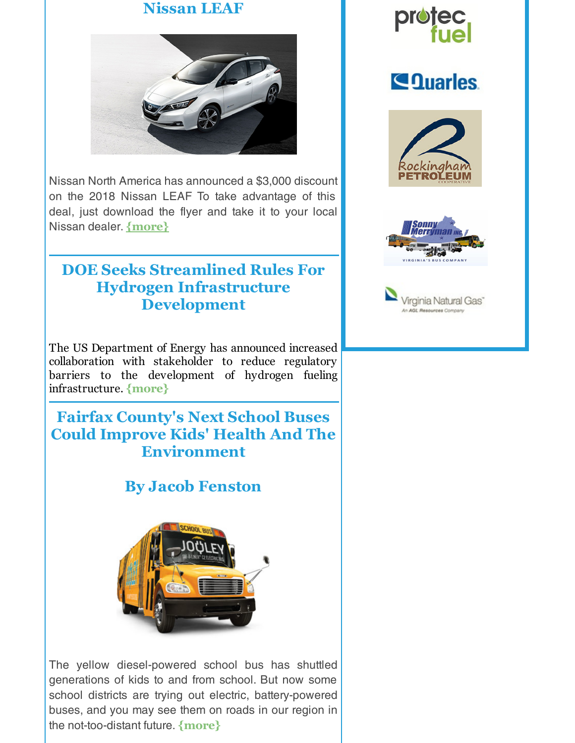#### **Nissan LEAF**



Nissan North America has announced a \$3,000 discount on the 2018 Nissan LEAF To take advantage of this deal, just download the flyer and take it to your local Nissan dealer. **[{more}](http://r20.rs6.net/tn.jsp?f=001bAnVMZJ-0gkyKQni_S7hyhDMiJ2fI4suQVWbGnUqH8d_yeM4u0BlbNukudxpbS_dd80uYfY7zHk7V3IUu0WAkZeWfbpbO41fflzMffzuVrDeToT_sZirQNdGSSizW4-6dFFNFkY0RelJikJvh4ACntawiusxHVgvrg-su9MVZ1dG4ciWSIZD9yA1x_PQK83w0v-tkgBKvlNGhQyk5gpM6gHoVGDOtt61sSheD2DRAyDSF-XZf8Pv7VUsgMUZU7n-k4eYP-ME9-K0qodvwCqxMVzgRxDbwmPB5x0PN2ueZLdNG8TBcO6wo8VTGY1oFIXs13D_DfFcI_OSjXnOZew76APjxcrWBS3AOrDToLKgNVkyVLFmpPNlFRiJP0icyr1y&c=&ch=)**

#### **DOE Seeks Streamlined Rules For Hydrogen Infrastructure Development**

The US Department of Energy has announced increased collaboration with stakeholder to reduce regulatory barriers to the development of hydrogen fueling infrastructure. **[{more}](http://r20.rs6.net/tn.jsp?f=001bAnVMZJ-0gkyKQni_S7hyhDMiJ2fI4suQVWbGnUqH8d_yeM4u0BlbNukudxpbS_dK4fPvH3ATzzSmv8GhZPJ7uWS8j10dsp-LBAn2puBmPZLa23s4dZiZkQn-FEFjsvn17EtSIPHWfZjMkZBrVDaEicsUxTsxiczRaw3X_lhZ9h6-8fqhp5f7aaB-2aFxrktCdocwSu8XJOOPhmSeEETkF2le_NA2Ct-UC7mEuQzXvowMH_d-IYXv-4RIvbJQTCPO8CPVOiIH3L9bUOZ4laeU3YvaucbmTIBCe0CAEFUfVs87zRRdh7sl4tBismQvVHa5zlBbDi3YIh_RvxGjjTSGQ_xXOyIOzmoa9fetYGbMl4SjnUgsT1Cb0k3Rmij5P9RAtrWIt-I_nSztCzYk1_cSslD8-IkX6OW2Od0NEWoDYU=&c=&ch=)**

#### **Fairfax County's Next School Buses Could Improve Kids' Health And The Environment**

# **By Jacob Fenston**



The yellow diesel-powered school bus has shuttled generations of kids to and from school. But now some school districts are trying out electric, battery-powered buses, and you may see them on roads in our region in the not-too-distant future. **[{more}](http://r20.rs6.net/tn.jsp?f=001bAnVMZJ-0gkyKQni_S7hyhDMiJ2fI4suQVWbGnUqH8d_yeM4u0BlbNukudxpbS_dGcFKIfKfaPnW-vGI50FISZNT0Ct7OxcAvq88K1ebFHgN_Eg5ZP0XeLd5ntre7sz4lreu00AEVicdEO6yr7cZjiyiWV0VLyyd7vvbRdRC7sOiGD3XCj-5-6CVRsHxTu_EtDvFbzsbBQcdB2p89W_zoiWZDj-teQ3NLPR3G7fFKZoONU2UzHXDYo6uL5lJ581_Q_aymtYfh1YfJNcUDaMnDRdFsNg0F6ynptfZYHwfU7pbcnsZJ_3D6rZeICb7VeaNanCowIKunPpcU6GsobsdA-VGjLn0uSFxORTj16cBJX7990eWiXpfT1eob9aJVXsHAbWIcfAwclT7tu0z8JS9mSt0u8_xpT5PFxI5BGITTz6tc_fSk9wG7Q==&c=&ch=)**



# **Sequaries**





Virginia Natural Gas<sup>-</sup>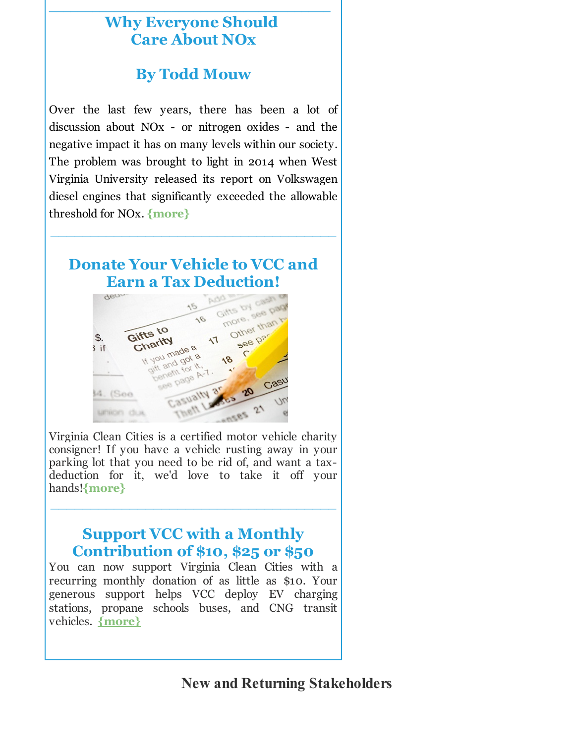# **Why Everyone Should Care About NOx**

\_\_\_\_\_\_\_\_\_\_\_\_\_\_\_\_\_\_\_\_\_\_\_\_\_\_\_\_\_\_\_\_\_\_\_\_\_\_\_

# **By Todd Mouw**

Over the last few years, there has been a lot of discussion about NOx - or nitrogen oxides - and the negative impact it has on many levels within our society. The problem was brought to light in 2014 when West Virginia University released its report on Volkswagen diesel engines that significantly exceeded the allowable threshold for NOx. **[{more}](http://r20.rs6.net/tn.jsp?f=001bAnVMZJ-0gkyKQni_S7hyhDMiJ2fI4suQVWbGnUqH8d_yeM4u0BlbNukudxpbS_d3ZfneQcEiQkzR3rc0_ws9dwAkHQULKZNFtrYzMDhZKN2SZMqssvIjcHLXnJpa16DjH49V2JScFbfWqwFgDNPCzHWTsUMW2aa5LDtohQHaUon4qL60a2FXskVsC2UuF8cCj4efXpc1RUgyS5F8zsNqIR1RIOBXOYhkNlDBEMTj42GxCot9clJtjuzPti7Y9NLnQQ-WqJnVwc_KpL248YfkqmDFr5HfUifkqq0LEnps0W_OObx3OQZ2pPUJ7nmyZKDSC9-CNulApIwJ_odln_VoV4fIoBtv2MRGcxjgenOhTS4aC0CscJJI-S-eDS1V6wY&c=&ch=)**

# **Donate Your Vehicle to VCC and Earn a Tax Deduction!**

**\_\_\_\_\_\_\_\_\_\_\_\_\_\_\_\_\_\_\_\_\_\_\_\_\_\_\_\_\_\_\_\_\_\_\_\_**



Virginia Clean Cities is a certified motor vehicle charity consigner! If you have a vehicle rusting away in your parking lot that you need to be rid of, and want a taxdeduction for it, we'd love to take it off your hands!**[{more}](http://r20.rs6.net/tn.jsp?f=001bAnVMZJ-0gkyKQni_S7hyhDMiJ2fI4suQVWbGnUqH8d_yeM4u0BlbK2QAeiDbAiuHm5JU4D759qXAbSjHZ201fD2i-Q2z0JrPvYcZpvXE-hzTlrsMvgGiooRrwA4KjNuzc31LpqkwAmA8uQ0VKpBOHfmj-kN2QddmQniffN3NwcxVlVi3XmnIgJY2tqWOrlPiIxTKUnb9k7Bh-jcOiq4pI9Kxc-oDpjx0gSlif-W-PLQztBv7UbmYiguv7OslZrrrnPBxKzwhTdg5BXBXxkJBshxa7FfdJS1b4EUAgcKA9ucwzdInJFdDcuuA96rW0LZr31txQqF-tT1xB7dzg15E7HexGN9CkARaaCMirAKKr5kWZGb8uzqMG97RSV3gNF8AyCQgpt8oZSkeWt_lnqw_gzTwqudQ7s5LEQYZ6pW2ylOsntvQQcaYMZRM77tb8Bk&c=&ch=)**

**\_\_\_\_\_\_\_\_\_\_\_\_\_\_\_\_\_\_\_\_\_\_\_\_\_\_\_\_\_\_\_\_\_\_\_\_**

#### **Support VCC with a Monthly Contribution of \$10, \$25 or \$50**

You can now support Virginia Clean Cities with a recurring monthly donation of as little as \$10. Your generous support helps VCC deploy EV charging stations, propane schools buses, and CNG transit vehicles. **[{more}](http://r20.rs6.net/tn.jsp?f=001bAnVMZJ-0gkyKQni_S7hyhDMiJ2fI4suQVWbGnUqH8d_yeM4u0BlbFfNkUXOogdXbsAfsZhcRC9zXEpisc8Mf139twFxRF7ce2rNwJZWw8pxY-vgcyOIbIs2nD6Ya_dpSm5X4PUnFpGNUlfmuSWNnZF7abE95SbnDctCxeP8d6Fau_9A2lkxPId2XaYPajG1D6_bsrlS9MuIHZukwQwTYAm3ClNzy0-zNWqJt3nX0zbO5iPkx7NzhPrMiAjOF6j1p96hJES6-CJ2DkyW-w7Znc0VlflYL42x2dcNcIExcWS-SCk1nzfkoJFq_BbVt5nWVI1zCbvD4jlMdHA89qzgWwZ-QqHLP-CJ9AhTzoPe1jw=&c=&ch=)**

**New and Returning Stakeholders**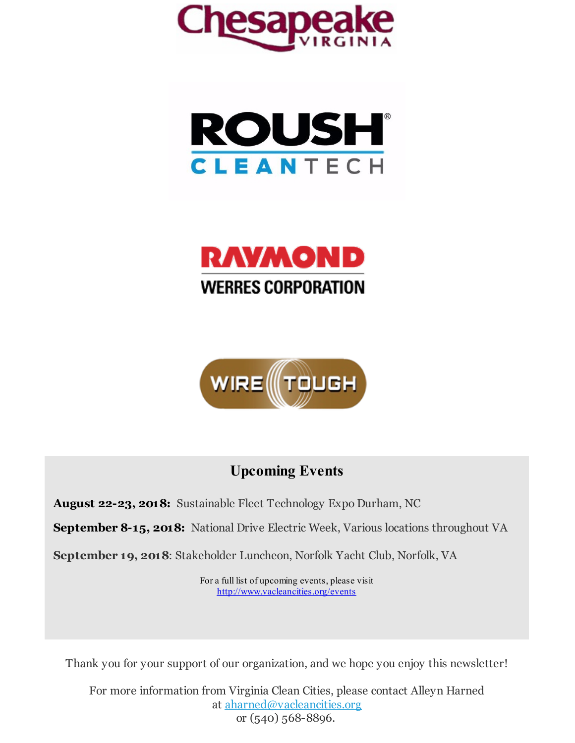







# **Upcoming Events**

**August 22-23, 2018:** Sustainable Fleet Technology Expo Durham, NC

**September 8-15, 2018:** National Drive Electric Week, Various locations throughout VA

**September 19, 2018**: Stakeholder Luncheon, Norfolk Yacht Club, Norfolk, VA

For a full list of upcoming events, please visit [http://www.vacleancities.org/events](http://r20.rs6.net/tn.jsp?f=001bAnVMZJ-0gkyKQni_S7hyhDMiJ2fI4suQVWbGnUqH8d_yeM4u0BlbIEPfxFgSYNzyQMAn75vIICzt9i9RPnQJEjBVGa7AjN3Yp3IFKPfFX3UvgFMuwZfBG9ANmS5jiklo-6UJMTUWAvRqsoFx5o3UeczfLElktSh-mwu4rQZA9I_KjGehhn3eq2OIRXyYcocSCRHI0TKMhKKjXOlMC1qBXLG_Du4hyyF3tCXYMVkd_OK7kv2V8hrICM6jW2yLoQbtMNhMUpWOA99fKcc3mMeASMW-jDH8d39vs55kSPhckkvYPjZuJ6YK7CmieAbRiUzaiCqPkip4KnnQstUino9OCh7PK4CiqnQ&c=&ch=)

Thank you for your support of our organization, and we hope you enjoy this newsletter!

For more information from Virginia Clean Cities, please contact Alleyn Harned at [aharned@vacleancities.org](mailto:aharned@vacleancities.org) or (540) 568-8896.